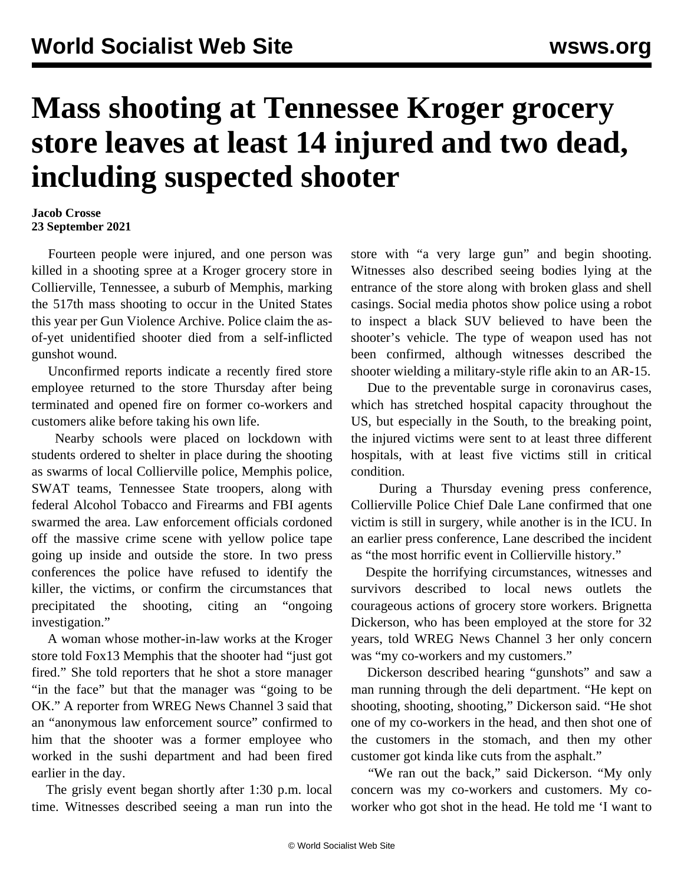## **Mass shooting at Tennessee Kroger grocery store leaves at least 14 injured and two dead, including suspected shooter**

## **Jacob Crosse 23 September 2021**

 Fourteen people were injured, and one person was killed in a shooting spree at a Kroger grocery store in Collierville, Tennessee, a suburb of Memphis, marking the 517th mass shooting to occur in the United States this year per Gun Violence Archive. Police claim the asof-yet unidentified shooter died from a self-inflicted gunshot wound.

 Unconfirmed reports indicate a recently fired store employee returned to the store Thursday after being terminated and opened fire on former co-workers and customers alike before taking his own life.

 Nearby schools were placed on lockdown with students ordered to shelter in place during the shooting as swarms of local Collierville police, Memphis police, SWAT teams, Tennessee State troopers, along with federal Alcohol Tobacco and Firearms and FBI agents swarmed the area. Law enforcement officials cordoned off the massive crime scene with yellow police tape going up inside and outside the store. In two press conferences the police have refused to identify the killer, the victims, or confirm the circumstances that precipitated the shooting, citing an "ongoing investigation."

 A woman whose mother-in-law works at the Kroger store told [Fox13 Memphis](https://twitter.com/GrantB911/status/1441135057473654789?s=19) that the shooter had "just got fired." She told reporters that he shot a store manager "in the face" but that the manager was "going to be OK." A reporter from WREG News Channel 3 said that an "anonymous law enforcement source" confirmed to him that the shooter was a former employee who worked in the sushi department and had been fired earlier in the day.

 The grisly event began shortly after 1:30 p.m. local time. Witnesses described seeing a man run into the store with "a very large gun" and begin shooting. Witnesses also described seeing bodies lying at the entrance of the store along with broken glass and shell casings. Social media photos show police using a robot to inspect a black SUV believed to have been the shooter's vehicle. The type of weapon used has not been confirmed, although witnesses described the shooter wielding a military-style rifle akin to an AR-15.

 Due to the preventable surge in coronavirus cases, which has stretched hospital capacity throughout the US, but especially in the South, to the breaking point, the injured victims were sent to at least three different hospitals, with at least five victims still in critical condition.

 During a Thursday evening press conference, Collierville Police Chief Dale Lane confirmed that one victim is still in surgery, while another is in the ICU. In an earlier press conference, Lane described the incident as "the most horrific event in Collierville history."

 Despite the horrifying circumstances, witnesses and survivors described to local news outlets the courageous actions of grocery store workers. Brignetta Dickerson, who has been employed at the store for 32 years, told WREG News Channel 3 her only concern was "my co-workers and my customers."

 Dickerson described hearing "gunshots" and saw a man running through the deli department. "He kept on shooting, shooting, shooting," Dickerson said. "He shot one of my co-workers in the head, and then shot one of the customers in the stomach, and then my other customer got kinda like cuts from the asphalt."

 "We ran out the back," said Dickerson. "My only concern was my co-workers and customers. My coworker who got shot in the head. He told me 'I want to